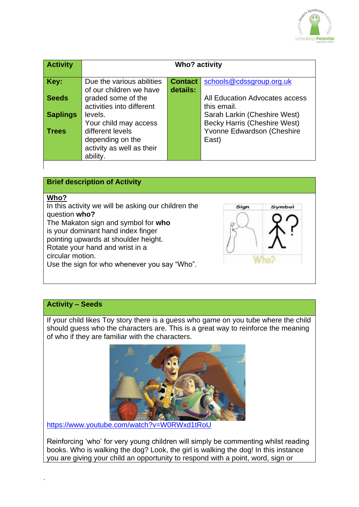

| <b>Activity</b> | <b>Who? activity</b>      |                |                                     |
|-----------------|---------------------------|----------------|-------------------------------------|
| Key:            | Due the various abilities | <b>Contact</b> | schools@cdssgroup.org.uk            |
|                 | of our children we have   | details:       |                                     |
| <b>Seeds</b>    | graded some of the        |                | All Education Advocates access      |
|                 | activities into different |                | this email.                         |
| <b>Saplings</b> | levels.                   |                | Sarah Larkin (Cheshire West)        |
|                 | Your child may access     |                | <b>Becky Harris (Cheshire West)</b> |
| <b>Trees</b>    | different levels          |                | Yvonne Edwardson (Cheshire          |
|                 | depending on the          |                | East)                               |
|                 | activity as well as their |                |                                     |
|                 | ability.                  |                |                                     |



## **Activity – Seeds**

`

If your child likes Toy story there is a guess who game on you tube where the child should guess who the characters are. This is a great way to reinforce the meaning of who if they are familiar with the characters.



<https://www.youtube.com/watch?v=W0RWxd1tRoU>

Reinforcing 'who' for very young children will simply be commenting whilst reading books. Who is walking the dog? Look, the girl is walking the dog! In this instance you are giving your child an opportunity to respond with a point, word, sign or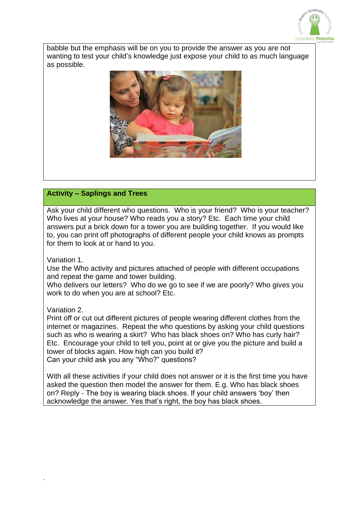

babble but the emphasis will be on you to provide the answer as you are not wanting to test your child's knowledge just expose your child to as much language as possible.



### **Activity – Saplings and Trees**

Ask your child different who questions. Who is your friend? Who is your teacher? Who lives at your house? Who reads you a story? Etc. Each time your child answers put a brick down for a tower you are building together. If you would like to, you can print off photographs of different people your child knows as prompts for them to look at or hand to you.

Variation 1.

Use the Who activity and pictures attached of people with different occupations and repeat the game and tower building.

Who delivers our letters? Who do we go to see if we are poorly? Who gives you work to do when you are at school? Etc.

Variation 2.

`

Print off or cut out different pictures of people wearing different clothes from the internet or magazines. Repeat the who questions by asking your child questions such as who is wearing a skirt? Who has black shoes on? Who has curly hair? Etc. Encourage your child to tell you, point at or give you the picture and build a tower of blocks again. How high can you build it? Can your child ask you any "Who?" questions?

With all these activities if your child does not answer or it is the first time you have asked the question then model the answer for them. E.g. Who has black shoes on? Reply - The boy is wearing black shoes. If your child answers 'boy' then acknowledge the answer. Yes that's right, the boy has black shoes.